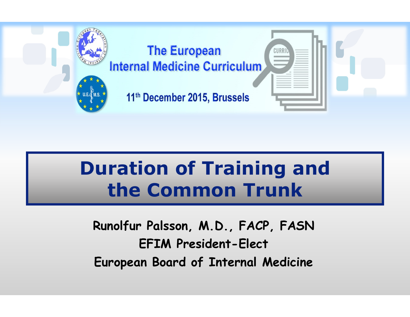

# **Duration of Training andthe Common Trunk**

**Runolfur Palsson, M.D., FACP, FASNEFIM President-ElectEuropean Board of Internal Medicine**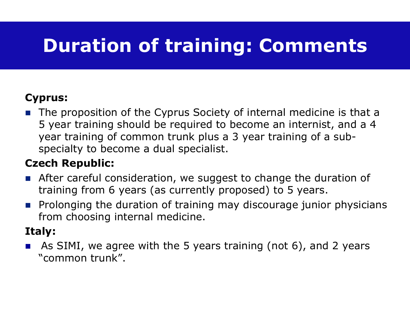# **Duration of training: Comments**

### **Cyprus:**

■ The proposition of the Cyprus Society of internal medicine is that a 5 year training should be required to become an internist, and a 4 year training of common trunk plus a 3 year training of a subspecialty to become a dual specialist.

### **Czech Republic:**

- After careful consideration, we suggest to change the duration of training from 6 years (as currently proposed) to 5 years.
- **Prolonging the duration of training may discourage junior physicians** from choosing internal medicine.

### **Italy:**

 $\mathbb{R}^3$  As SIMI, we agree with the 5 years training (not 6), and 2 years "common trunk".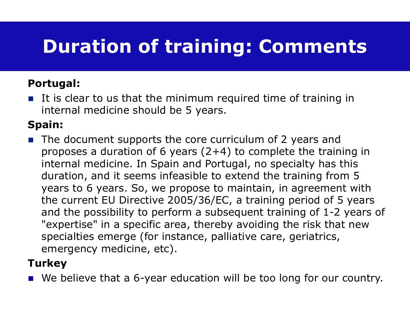# **Duration of training: Comments**

#### **Portugal:**

It is clear to us that the minimum required time of training in internal medicine should be 5 years.

### **Spain:**

■ The document supports the core curriculum of 2 years and proposes a duration of 6 years  $(2+4)$  to complete the training in internal medicine. In Spain and Portugal, no specialty has this duration, and it seems infeasible to extend the training from 5 years to 6 years. So, we propose to maintain, in agreement with the current EU Directive 2005/36/EC, a training period of 5 years and the possibility to perform a subsequent training of 1-2 years of "expertise" in a specific area, thereby avoiding the risk that new specialties emerge (for instance, palliative care, geriatrics, emergency medicine, etc).

#### **Turkey**

■ We believe that a 6-year education will be too long for our country.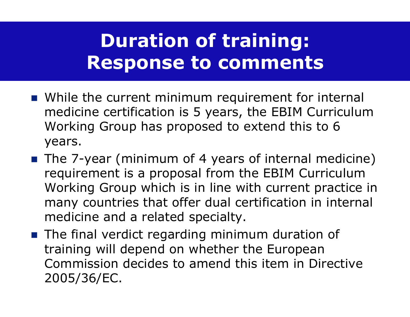# **Duration of training:Response to comments**

- While the current minimum requirement for internal medicine certification is 5 years, the EBIM Curriculum Working Group has proposed to extend this to 6 years.
- The 7-year (minimum of 4 years of internal medicine) requirement is a proposal from the EBIM Curriculum Working Group which is in line with current practice in many countries that offer dual certification in internal medicine and a related specialty.
- The final verdict regarding minimum duration of<br>training will denend on whether the Euronean training will depend on whether the European Commission decides to amend this item in Directive 2005/36/EC.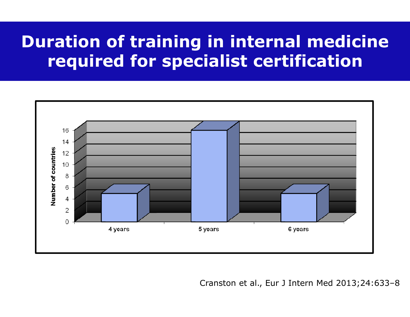### **Duration of training in internal medicine required for specialist certification**



Cranston et al., Eur J Intern Med 2013;24:633–8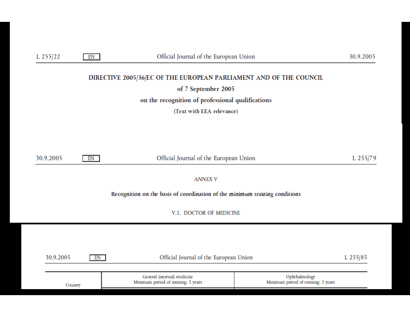| L $255/22$                                                                  | EN                                           | Official Journal of the European Union                                                                                     |  | 30.9.2005 |  |  |  |  |
|-----------------------------------------------------------------------------|----------------------------------------------|----------------------------------------------------------------------------------------------------------------------------|--|-----------|--|--|--|--|
|                                                                             |                                              | DIRECTIVE 2005/36/EC OF THE EUROPEAN PARLIAMENT AND OF THE COUNCIL                                                         |  |           |  |  |  |  |
|                                                                             |                                              | of 7 September 2005                                                                                                        |  |           |  |  |  |  |
|                                                                             |                                              | on the recognition of professional qualifications                                                                          |  |           |  |  |  |  |
|                                                                             |                                              | (Text with EEA relevance)                                                                                                  |  |           |  |  |  |  |
|                                                                             |                                              |                                                                                                                            |  |           |  |  |  |  |
|                                                                             |                                              |                                                                                                                            |  |           |  |  |  |  |
|                                                                             |                                              |                                                                                                                            |  |           |  |  |  |  |
| 30.9.2005                                                                   | EN                                           | Official Journal of the European Union                                                                                     |  |           |  |  |  |  |
|                                                                             |                                              |                                                                                                                            |  |           |  |  |  |  |
|                                                                             |                                              | <b>ANNEX V</b>                                                                                                             |  |           |  |  |  |  |
| Recognition on the basis of coordination of the minimum training conditions |                                              |                                                                                                                            |  |           |  |  |  |  |
|                                                                             |                                              | V.1. DOCTOR OF MEDICINE                                                                                                    |  |           |  |  |  |  |
|                                                                             |                                              |                                                                                                                            |  |           |  |  |  |  |
|                                                                             |                                              |                                                                                                                            |  |           |  |  |  |  |
|                                                                             |                                              |                                                                                                                            |  |           |  |  |  |  |
| 30.9.2005                                                                   | Official Journal of the European Union<br>EN |                                                                                                                            |  | L 255/85  |  |  |  |  |
|                                                                             |                                              |                                                                                                                            |  |           |  |  |  |  |
|                                                                             |                                              | General (internal) medicine<br>Ophthalmology<br>Minimum period of training: 5 years<br>Minimum period of training: 3 years |  |           |  |  |  |  |
|                                                                             | Country                                      |                                                                                                                            |  |           |  |  |  |  |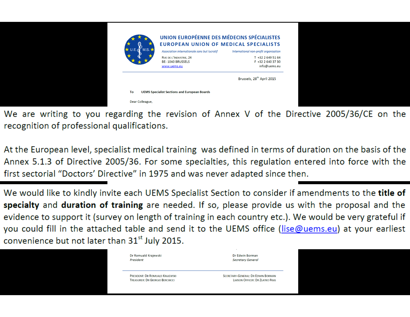|                                          |                                              | Brussels, 28 <sup>th</sup> April 2015  |
|------------------------------------------|----------------------------------------------|----------------------------------------|
|                                          | www.uems.eu                                  | info@uems.eu                           |
|                                          | RUE DE L'INDUSTRIE, 24<br>BE-1040 BRUSSELS   | T +32 2 649 51 64<br>F +32 2 640 37 30 |
| $\star$ U.E.<br>$^{\prime}$ M.S. $\star$ | Association internationale sans but lucratif | International non-profit organisation  |
|                                          | <b>EUROPEAN UNION OF MEDICAL SPECIALISTS</b> |                                        |
|                                          | UNION EUROPÉENNE DES MÉDECINS SPÉCIALISTES   |                                        |

We are writing to you regarding the revision of Annex V of the Directive 2005/36/CE on the recognition of professional qualifications.

At the European level, specialist medical training was defined in terms of duration on the basis of the Annex 5.1.3 of Directive 2005/36. For some specialties, this regulation entered into force with the first sectorial "Doctors' Directive" in 1975 and was never adapted since then.

We would like to kindly invite each UEMS Specialist Section to consider if amendments to the title of specialty and duration of training are needed. If so, please provide us with the proposal and the evidence to support it (survey on length of training in each country etc.). We would be very grateful if you could fill in the attached table and send it to the UEMS office (lise@uems.eu) at your earliest convenience but not later than 31<sup>st</sup> July 2015.

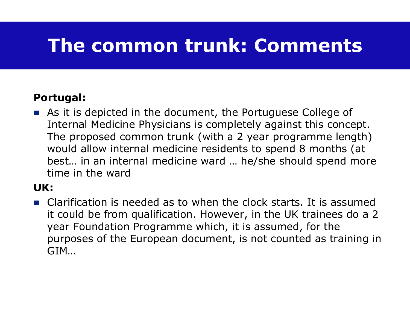## **The common trunk: Comments**

#### **Portugal:**

As it is depicted in the document, the Portuguese College of Internal Medicine Physicians is completely against this concept. The proposed common trunk (with a 2 year programme length)<br>would allow internal medicine residents to spend 8 months (at would allow internal medicine residents to spend 8 months (at best… in an internal medicine ward … he/she should spend more time in the ward

#### **UK:**

■ Clarification is needed as to when the clock starts. It is assumed it could be from qualification. However, in the UK trainees do a 2 year Foundation Programme which, it is assumed, for the purposes of the European document, is not counted as training in GIM…